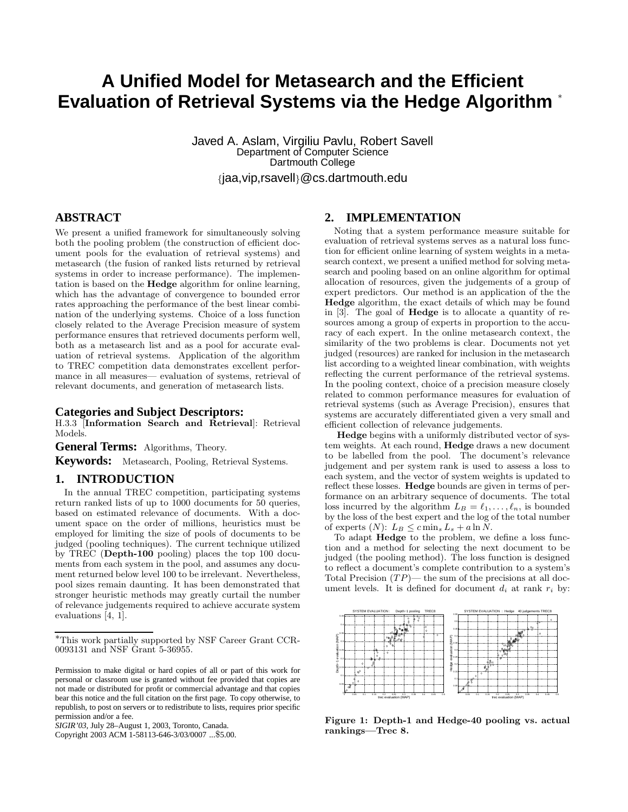# **A Unified Model for Metasearch and the Efficient Evaluation of Retrieval Systems via the Hedge Algorithm** <sup>∗</sup>

Javed A. Aslam, Virgiliu Pavlu, Robert Savell Department of Computer Science Dartmouth College

{jaa,vip,rsavell}@cs.dartmouth.edu

## **ABSTRACT**

We present a unified framework for simultaneously solving both the pooling problem (the construction of efficient document pools for the evaluation of retrieval systems) and metasearch (the fusion of ranked lists returned by retrieval systems in order to increase performance). The implementation is based on the Hedge algorithm for online learning, which has the advantage of convergence to bounded error rates approaching the performance of the best linear combination of the underlying systems. Choice of a loss function closely related to the Average Precision measure of system performance ensures that retrieved documents perform well, both as a metasearch list and as a pool for accurate evaluation of retrieval systems. Application of the algorithm to TREC competition data demonstrates excellent performance in all measures— evaluation of systems, retrieval of relevant documents, and generation of metasearch lists.

#### **Categories and Subject Descriptors:**

H.3.3 [Information Search and Retrieval]: Retrieval Models.

**General Terms:** Algorithms, Theory.

**Keywords:** Metasearch, Pooling, Retrieval Systems.

#### **1. INTRODUCTION**

In the annual TREC competition, participating systems return ranked lists of up to 1000 documents for 50 queries, based on estimated relevance of documents. With a document space on the order of millions, heuristics must be employed for limiting the size of pools of documents to be judged (pooling techniques). The current technique utilized by TREC (Depth-100 pooling) places the top 100 documents from each system in the pool, and assumes any document returned below level 100 to be irrelevant. Nevertheless, pool sizes remain daunting. It has been demonstrated that stronger heuristic methods may greatly curtail the number of relevance judgements required to achieve accurate system evaluations [4, 1].

Copyright 2003 ACM 1-58113-646-3/03/0007 ...\$5.00.

### **2. IMPLEMENTATION**

Noting that a system performance measure suitable for evaluation of retrieval systems serves as a natural loss function for efficient online learning of system weights in a metasearch context, we present a unified method for solving metasearch and pooling based on an online algorithm for optimal allocation of resources, given the judgements of a group of expert predictors. Our method is an application of the the Hedge algorithm, the exact details of which may be found in [3]. The goal of Hedge is to allocate a quantity of resources among a group of experts in proportion to the accuracy of each expert. In the online metasearch context, the similarity of the two problems is clear. Documents not yet judged (resources) are ranked for inclusion in the metasearch list according to a weighted linear combination, with weights reflecting the current performance of the retrieval systems. In the pooling context, choice of a precision measure closely related to common performance measures for evaluation of retrieval systems (such as Average Precision), ensures that systems are accurately differentiated given a very small and efficient collection of relevance judgements.

Hedge begins with a uniformly distributed vector of system weights. At each round, Hedge draws a new document to be labelled from the pool. The document's relevance judgement and per system rank is used to assess a loss to each system, and the vector of system weights is updated to reflect these losses. Hedge bounds are given in terms of performance on an arbitrary sequence of documents. The total loss incurred by the algorithm  $L_B = \ell_1, \ldots, \ell_n$ , is bounded by the loss of the best expert and the log of the total number of experts  $(N)$ :  $L_B \leq c \min_s L_s + a \ln N$ .

To adapt Hedge to the problem, we define a loss function and a method for selecting the next document to be judged (the pooling method). The loss function is designed to reflect a document's complete contribution to a system's Total Precision  $(TP)$ — the sum of the precisions at all document levels. It is defined for document  $d_i$  at rank  $r_i$  by:



Figure 1: Depth-1 and Hedge-40 pooling vs. actual rankings—Trec 8.

<sup>∗</sup>This work partially supported by NSF Career Grant CCR-0093131 and NSF Grant 5-36955.

Permission to make digital or hard copies of all or part of this work for personal or classroom use is granted without fee provided that copies are not made or distributed for profit or commercial advantage and that copies bear this notice and the full citation on the first page. To copy otherwise, to republish, to post on servers or to redistribute to lists, requires prior specific permission and/or a fee.

*SIGIR'03,* July 28–August 1, 2003, Toronto, Canada.